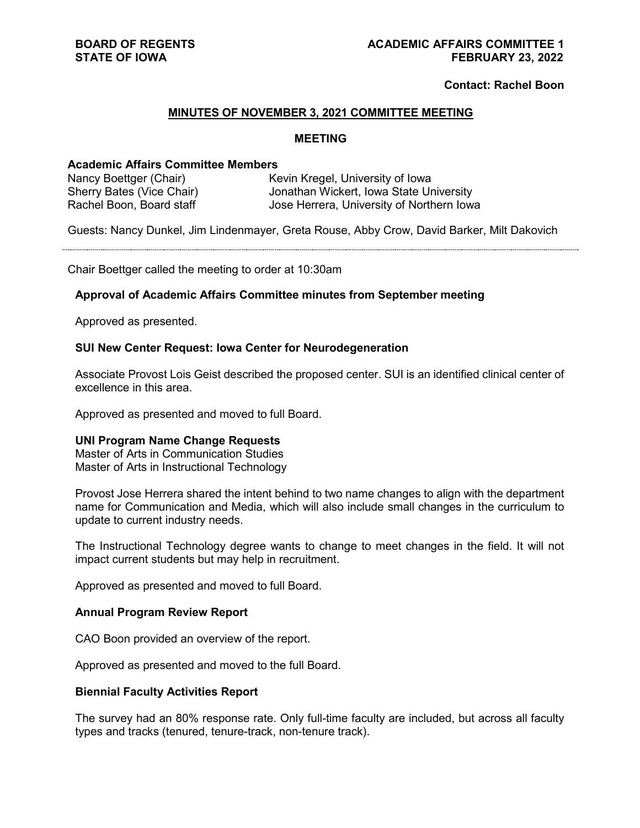# **Contact: Rachel Boon**

## **MINUTES OF NOVEMBER 3, 2021 COMMITTEE MEETING**

#### **MEETING**

# **Academic Affairs Committee Members**

| Nancy Boettger (Chair)    | Kevin Kregel, University of Iowa          |
|---------------------------|-------------------------------------------|
| Sherry Bates (Vice Chair) | Jonathan Wickert, Iowa State University   |
| Rachel Boon, Board staff  | Jose Herrera, University of Northern Iowa |

Guests: Nancy Dunkel, Jim Lindenmayer, Greta Rouse, Abby Crow, David Barker, Milt Dakovich

Chair Boettger called the meeting to order at 10:30am

#### **Approval of Academic Affairs Committee minutes from September meeting**

Approved as presented.

## **SUI New Center Request: Iowa Center for Neurodegeneration**

Associate Provost Lois Geist described the proposed center. SUI is an identified clinical center of excellence in this area.

Approved as presented and moved to full Board.

#### **UNI Program Name Change Requests**

Master of Arts in Communication Studies Master of Arts in Instructional Technology

Provost Jose Herrera shared the intent behind to two name changes to align with the department name for Communication and Media, which will also include small changes in the curriculum to update to current industry needs.

The Instructional Technology degree wants to change to meet changes in the field. It will not impact current students but may help in recruitment.

Approved as presented and moved to full Board.

#### **Annual Program Review Report**

CAO Boon provided an overview of the report.

Approved as presented and moved to the full Board.

#### **Biennial Faculty Activities Report**

The survey had an 80% response rate. Only full-time faculty are included, but across all faculty types and tracks (tenured, tenure-track, non-tenure track).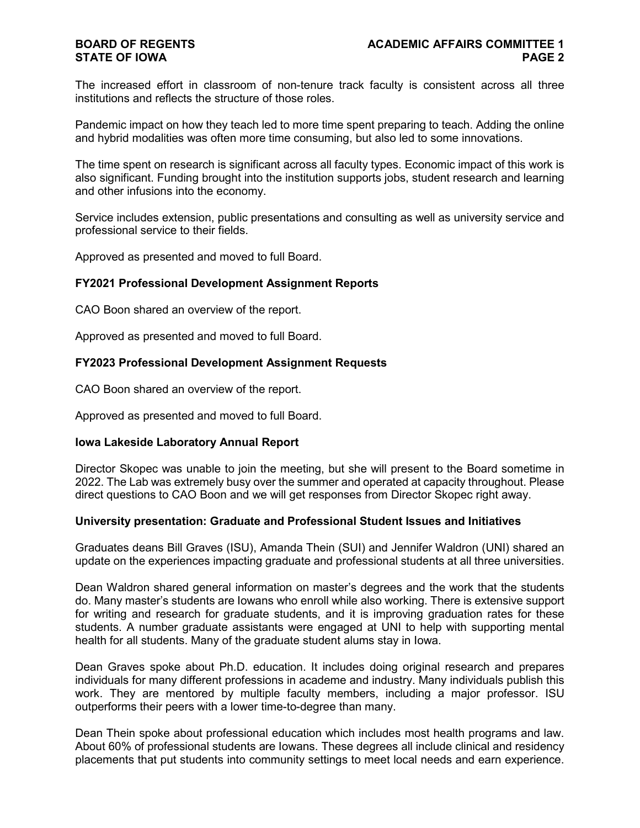# **STATE OF IOWA**

The increased effort in classroom of non-tenure track faculty is consistent across all three institutions and reflects the structure of those roles.

Pandemic impact on how they teach led to more time spent preparing to teach. Adding the online and hybrid modalities was often more time consuming, but also led to some innovations.

The time spent on research is significant across all faculty types. Economic impact of this work is also significant. Funding brought into the institution supports jobs, student research and learning and other infusions into the economy.

Service includes extension, public presentations and consulting as well as university service and professional service to their fields.

Approved as presented and moved to full Board.

## **FY2021 Professional Development Assignment Reports**

CAO Boon shared an overview of the report.

Approved as presented and moved to full Board.

## **FY2023 Professional Development Assignment Requests**

CAO Boon shared an overview of the report.

Approved as presented and moved to full Board.

#### **Iowa Lakeside Laboratory Annual Report**

Director Skopec was unable to join the meeting, but she will present to the Board sometime in 2022. The Lab was extremely busy over the summer and operated at capacity throughout. Please direct questions to CAO Boon and we will get responses from Director Skopec right away.

#### **University presentation: Graduate and Professional Student Issues and Initiatives**

Graduates deans Bill Graves (ISU), Amanda Thein (SUI) and Jennifer Waldron (UNI) shared an update on the experiences impacting graduate and professional students at all three universities.

Dean Waldron shared general information on master's degrees and the work that the students do. Many master's students are Iowans who enroll while also working. There is extensive support for writing and research for graduate students, and it is improving graduation rates for these students. A number graduate assistants were engaged at UNI to help with supporting mental health for all students. Many of the graduate student alums stay in Iowa.

Dean Graves spoke about Ph.D. education. It includes doing original research and prepares individuals for many different professions in academe and industry. Many individuals publish this work. They are mentored by multiple faculty members, including a major professor. ISU outperforms their peers with a lower time-to-degree than many.

Dean Thein spoke about professional education which includes most health programs and law. About 60% of professional students are Iowans. These degrees all include clinical and residency placements that put students into community settings to meet local needs and earn experience.